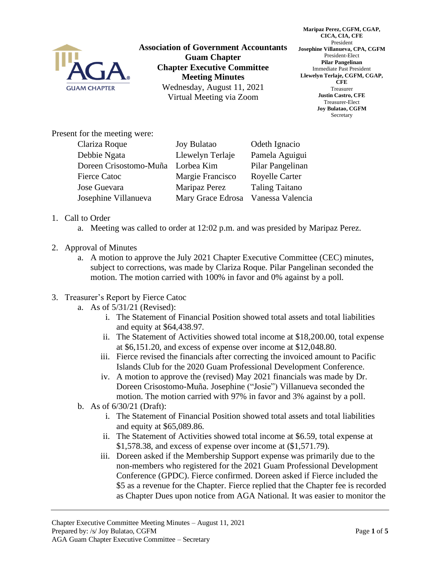

**Association of Government Accountants Guam Chapter Chapter Executive Committee Meeting Minutes** Wednesday, August 11, 2021 Virtual Meeting via Zoom

**Maripaz Perez, CGFM, CGAP, CICA, CIA, CFE** President **Josephine Villanueva, CPA, CGFM** President-Elect **Pilar Pangelinan** Immediate Past President **Llewelyn Terlaje, CGFM, CGAP, CFE** Treasurer **Justin Castro, CFE** Treasurer-Elect **Joy Bulatao, CGFM** Secretary

Present for the meeting were:

| Clariza Roque          | <b>Joy Bulatao</b>                 | Odeth Ignacio         |
|------------------------|------------------------------------|-----------------------|
| Debbie Ngata           | Llewelyn Terlaje                   | Pamela Aguigui        |
| Doreen Crisostomo-Muña | Lorbea Kim                         | Pilar Pangelinan      |
| <b>Fierce Catoc</b>    | Margie Francisco                   | <b>Royelle Carter</b> |
| Jose Guevara           | Maripaz Perez                      | <b>Taling Taitano</b> |
| Josephine Villanueva   | Mary Grace Edrosa Vanessa Valencia |                       |

## 1. Call to Order

- a. Meeting was called to order at 12:02 p.m. and was presided by Maripaz Perez.
- 2. Approval of Minutes
	- a. A motion to approve the July 2021 Chapter Executive Committee (CEC) minutes, subject to corrections, was made by Clariza Roque. Pilar Pangelinan seconded the motion. The motion carried with 100% in favor and 0% against by a poll.

## 3. Treasurer's Report by Fierce Catoc

- a. As of 5/31/21 (Revised):
	- i. The Statement of Financial Position showed total assets and total liabilities and equity at \$64,438.97.
	- ii. The Statement of Activities showed total income at \$18,200.00, total expense at \$6,151.20, and excess of expense over income at \$12,048.80.
	- iii. Fierce revised the financials after correcting the invoiced amount to Pacific Islands Club for the 2020 Guam Professional Development Conference.
	- iv. A motion to approve the (revised) May 2021 financials was made by Dr. Doreen Crisostomo-Muña. Josephine ("Josie") Villanueva seconded the motion. The motion carried with 97% in favor and 3% against by a poll.
- b. As of 6/30/21 (Draft):
	- i. The Statement of Financial Position showed total assets and total liabilities and equity at \$65,089.86.
	- ii. The Statement of Activities showed total income at \$6.59, total expense at \$1,578.38, and excess of expense over income at (\$1,571.79).
	- iii. Doreen asked if the Membership Support expense was primarily due to the non-members who registered for the 2021 Guam Professional Development Conference (GPDC). Fierce confirmed. Doreen asked if Fierce included the \$5 as a revenue for the Chapter. Fierce replied that the Chapter fee is recorded as Chapter Dues upon notice from AGA National. It was easier to monitor the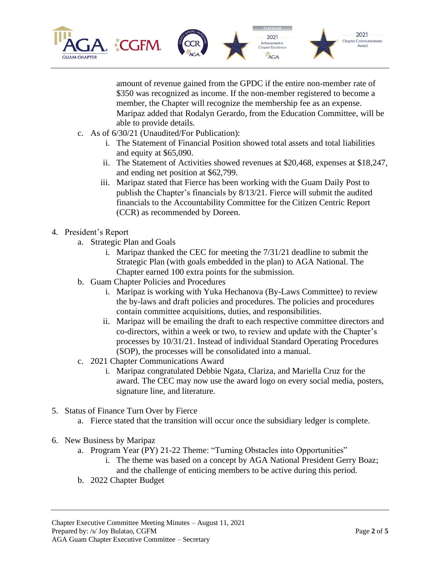

amount of revenue gained from the GPDC if the entire non-member rate of \$350 was recognized as income. If the non-member registered to become a member, the Chapter will recognize the membership fee as an expense. Maripaz added that Rodalyn Gerardo, from the Education Committee, will be able to provide details.

- c. As of 6/30/21 (Unaudited/For Publication):
	- i. The Statement of Financial Position showed total assets and total liabilities and equity at \$65,090.
	- ii. The Statement of Activities showed revenues at \$20,468, expenses at \$18,247, and ending net position at \$62,799.
	- iii. Maripaz stated that Fierce has been working with the Guam Daily Post to publish the Chapter's financials by 8/13/21. Fierce will submit the audited financials to the Accountability Committee for the Citizen Centric Report (CCR) as recommended by Doreen.
- 4. President's Report
	- a. Strategic Plan and Goals
		- i. Maripaz thanked the CEC for meeting the 7/31/21 deadline to submit the Strategic Plan (with goals embedded in the plan) to AGA National. The Chapter earned 100 extra points for the submission.
	- b. Guam Chapter Policies and Procedures
		- i. Maripaz is working with Yuka Hechanova (By-Laws Committee) to review the by-laws and draft policies and procedures. The policies and procedures contain committee acquisitions, duties, and responsibilities.
		- ii. Maripaz will be emailing the draft to each respective committee directors and co-directors, within a week or two, to review and update with the Chapter's processes by 10/31/21. Instead of individual Standard Operating Procedures (SOP), the processes will be consolidated into a manual.
	- c. 2021 Chapter Communications Award
		- i. Maripaz congratulated Debbie Ngata, Clariza, and Mariella Cruz for the award. The CEC may now use the award logo on every social media, posters, signature line, and literature.
- 5. Status of Finance Turn Over by Fierce
	- a. Fierce stated that the transition will occur once the subsidiary ledger is complete.
- 6. New Business by Maripaz
	- a. Program Year (PY) 21-22 Theme: "Turning Obstacles into Opportunities"
		- i. The theme was based on a concept by AGA National President Gerry Boaz; and the challenge of enticing members to be active during this period.
	- b. 2022 Chapter Budget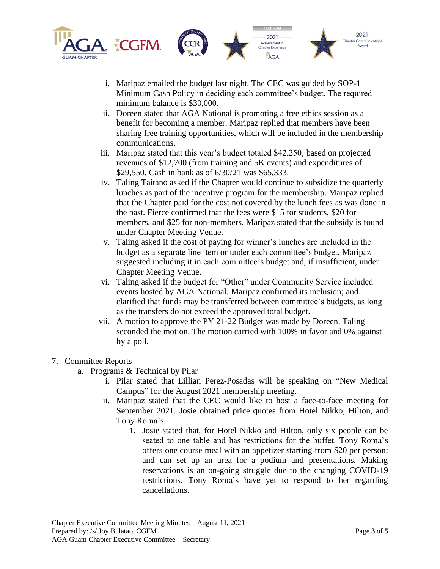

- i. Maripaz emailed the budget last night. The CEC was guided by SOP-1 Minimum Cash Policy in deciding each committee's budget. The required minimum balance is \$30,000.
- ii. Doreen stated that AGA National is promoting a free ethics session as a benefit for becoming a member. Maripaz replied that members have been sharing free training opportunities, which will be included in the membership communications.
- iii. Maripaz stated that this year's budget totaled \$42,250, based on projected revenues of \$12,700 (from training and 5K events) and expenditures of \$29,550. Cash in bank as of 6/30/21 was \$65,333.
- iv. Taling Taitano asked if the Chapter would continue to subsidize the quarterly lunches as part of the incentive program for the membership. Maripaz replied that the Chapter paid for the cost not covered by the lunch fees as was done in the past. Fierce confirmed that the fees were \$15 for students, \$20 for members, and \$25 for non-members. Maripaz stated that the subsidy is found under Chapter Meeting Venue.
- v. Taling asked if the cost of paying for winner's lunches are included in the budget as a separate line item or under each committee's budget. Maripaz suggested including it in each committee's budget and, if insufficient, under Chapter Meeting Venue.
- vi. Taling asked if the budget for "Other" under Community Service included events hosted by AGA National. Maripaz confirmed its inclusion; and clarified that funds may be transferred between committee's budgets, as long as the transfers do not exceed the approved total budget.
- vii. A motion to approve the PY 21-22 Budget was made by Doreen. Taling seconded the motion. The motion carried with 100% in favor and 0% against by a poll.

## 7. Committee Reports

- a. Programs & Technical by Pilar
	- i. Pilar stated that Lillian Perez-Posadas will be speaking on "New Medical Campus" for the August 2021 membership meeting.
	- ii. Maripaz stated that the CEC would like to host a face-to-face meeting for September 2021. Josie obtained price quotes from Hotel Nikko, Hilton, and Tony Roma's.
		- 1. Josie stated that, for Hotel Nikko and Hilton, only six people can be seated to one table and has restrictions for the buffet. Tony Roma's offers one course meal with an appetizer starting from \$20 per person; and can set up an area for a podium and presentations. Making reservations is an on-going struggle due to the changing COVID-19 restrictions. Tony Roma's have yet to respond to her regarding cancellations.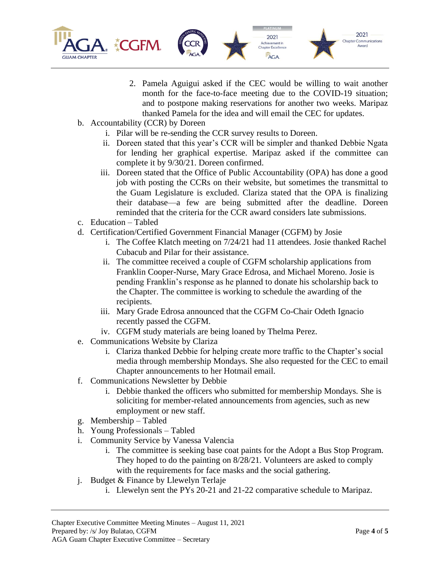

- 2. Pamela Aguigui asked if the CEC would be willing to wait another month for the face-to-face meeting due to the COVID-19 situation; and to postpone making reservations for another two weeks. Maripaz thanked Pamela for the idea and will email the CEC for updates.
- b. Accountability (CCR) by Doreen
	- i. Pilar will be re-sending the CCR survey results to Doreen.
	- ii. Doreen stated that this year's CCR will be simpler and thanked Debbie Ngata for lending her graphical expertise. Maripaz asked if the committee can complete it by 9/30/21. Doreen confirmed.
	- iii. Doreen stated that the Office of Public Accountability (OPA) has done a good job with posting the CCRs on their website, but sometimes the transmittal to the Guam Legislature is excluded. Clariza stated that the OPA is finalizing their database—a few are being submitted after the deadline. Doreen reminded that the criteria for the CCR award considers late submissions.
- c. Education Tabled
- d. Certification/Certified Government Financial Manager (CGFM) by Josie
	- i. The Coffee Klatch meeting on 7/24/21 had 11 attendees. Josie thanked Rachel Cubacub and Pilar for their assistance.
	- ii. The committee received a couple of CGFM scholarship applications from Franklin Cooper-Nurse, Mary Grace Edrosa, and Michael Moreno. Josie is pending Franklin's response as he planned to donate his scholarship back to the Chapter. The committee is working to schedule the awarding of the recipients.
	- iii. Mary Grade Edrosa announced that the CGFM Co-Chair Odeth Ignacio recently passed the CGFM.
	- iv. CGFM study materials are being loaned by Thelma Perez.
- e. Communications Website by Clariza
	- i. Clariza thanked Debbie for helping create more traffic to the Chapter's social media through membership Mondays. She also requested for the CEC to email Chapter announcements to her Hotmail email.
- f. Communications Newsletter by Debbie
	- i. Debbie thanked the officers who submitted for membership Mondays. She is soliciting for member-related announcements from agencies, such as new employment or new staff.
- g. Membership Tabled
- h. Young Professionals Tabled
- i. Community Service by Vanessa Valencia
	- i. The committee is seeking base coat paints for the Adopt a Bus Stop Program. They hoped to do the painting on 8/28/21. Volunteers are asked to comply with the requirements for face masks and the social gathering.
- j. Budget & Finance by Llewelyn Terlaje
	- i. Llewelyn sent the PYs 20-21 and 21-22 comparative schedule to Maripaz.